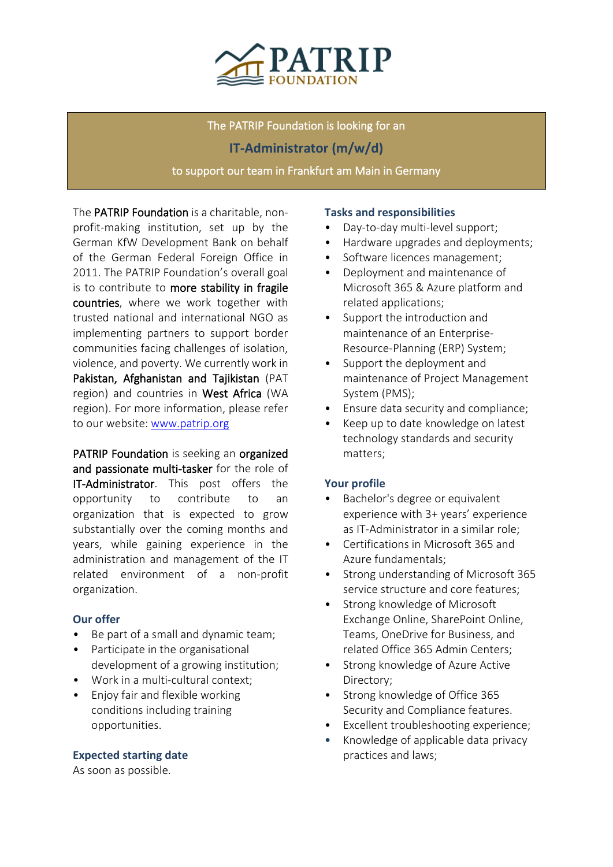

The PATRIP Foundation is looking for an **IT-Administrator (m/w/d)** to support our team in Frankfurt am Main in Germany

The PATRIP Foundation is a charitable, nonprofit-making institution, set up by the German KfW Development Bank on behalf of the German Federal Foreign Office in 2011. The PATRIP Foundation's overall goal is to contribute to more stability in fragile countries, where we work together with trusted national and international NGO as implementing partners to support border communities facing challenges of isolation, violence, and poverty. We currently work in Pakistan, Afghanistan and Taiikistan (PAT region) and countries in West Africa (WA region). For more information, please refer to our website: [www.patrip.org](http://www.patrip.org/)

PATRIP Foundation is seeking an organized and passionate multi-tasker for the role of IT-Administrator. This post offers the opportunity to contribute to an organization that is expected to grow substantially over the coming months and years, while gaining experience in the administration and management of the IT related environment of a non-profit organization.

### **Our offer**

- Be part of a small and dynamic team;
- Participate in the organisational development of a growing institution;
- Work in a multi-cultural context;
- Enjoy fair and flexible working conditions including training opportunities.

#### **Expected starting date**

As soon as possible.

#### **Tasks and responsibilities**

- Day-to-day multi-level support;
- Hardware upgrades and deployments;
- Software licences management;
- Deployment and maintenance of Microsoft 365 & Azure platform and related applications;
- Support the introduction and maintenance of an Enterprise-Resource-Planning (ERP) System;
- Support the deployment and maintenance of Project Management System (PMS);
- Ensure data security and compliance;
- Keep up to date knowledge on latest technology standards and security matters;

### **Your profile**

- Bachelor's degree or equivalent experience with 3+ years' experience as IT-Administrator in a similar role;
- Certifications in Microsoft 365 and Azure fundamentals;
- Strong understanding of Microsoft 365 service structure and core features;
- Strong knowledge of Microsoft Exchange Online, SharePoint Online, Teams, OneDrive for Business, and related Office 365 Admin Centers;
- Strong knowledge of Azure Active Directory;
- Strong knowledge of Office 365 Security and Compliance features.
- Excellent troubleshooting experience;
- Knowledge of applicable data privacy practices and laws;